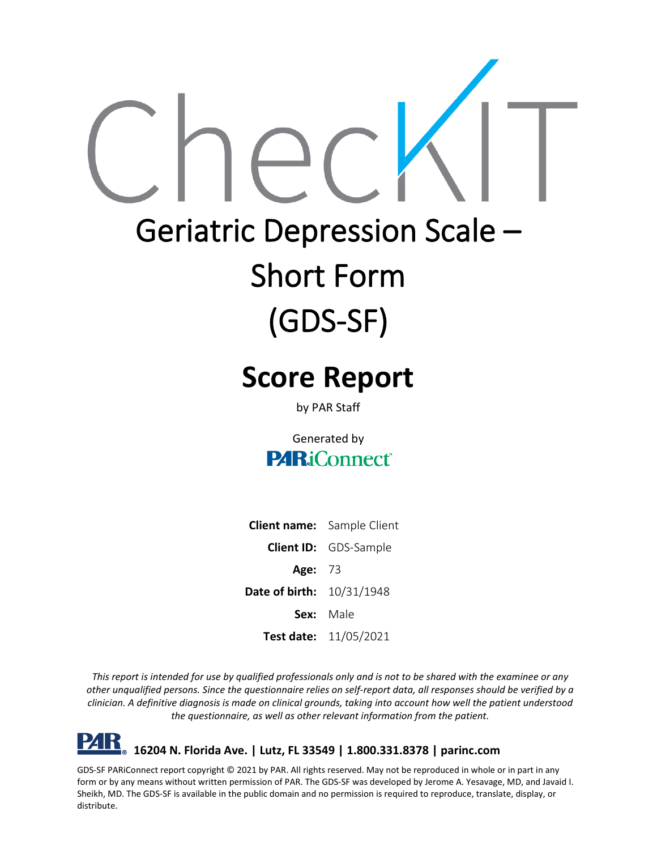# Geriatric Depression Scale – Short Form (GDS-SF)

# **Score Report**

by PAR Staff

Generated by **PARiConnect** 

**Client name:** Sample Client **Client ID:** GDS-Sample **Age:** 73 **Date of birth:** 10/31/1948 **Sex:** Male **Test date:** 11/05/2021

*This report is intended for use by qualified professionals only and is not to be shared with the examinee or any other unqualified persons. Since the questionnaire relies on self-report data, all responses should be verified by a clinician. A definitive diagnosis is made on clinical grounds, taking into account how well the patient understood the questionnaire, as well as other relevant information from the patient.*

**16204 N. Florida Ave. | Lutz, FL 33549 | 1.800.331.8378 | parinc.com**

GDS-SF PARiConnect report copyright © 2021 by PAR. All rights reserved. May not be reproduced in whole or in part in any form or by any means without written permission of PAR. The GDS-SF was developed by Jerome A. Yesavage, MD, and Javaid I. Sheikh, MD. The GDS-SF is available in the public domain and no permission is required to reproduce, translate, display, or distribute.